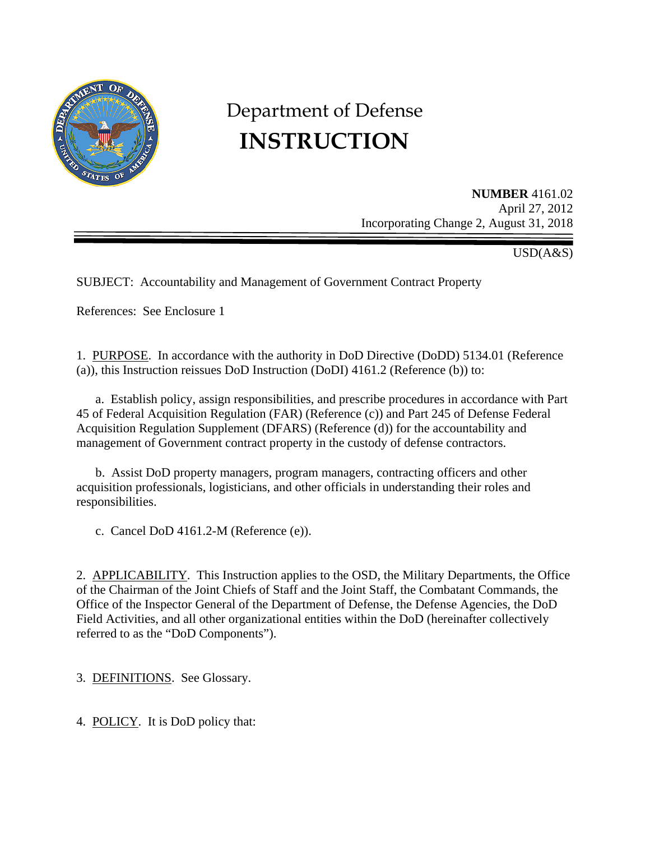

# Department of Defense **INSTRUCTION**

**NUMBER** 4161.02 April 27, 2012 Incorporating Change 2, August 31, 2018

USD(A&S)

SUBJECT: Accountability and Management of Government Contract Property

References: See Enclosure 1

1. PURPOSE. In accordance with the authority in DoD Directive (DoDD) 5134.01 (Reference (a)), this Instruction reissues DoD Instruction (DoDI) 4161.2 (Reference (b)) to:

 a. Establish policy, assign responsibilities, and prescribe procedures in accordance with Part 45 of Federal Acquisition Regulation (FAR) (Reference (c)) and Part 245 of Defense Federal Acquisition Regulation Supplement (DFARS) (Reference (d)) for the accountability and management of Government contract property in the custody of defense contractors.

b. Assist DoD property managers, program managers, contracting officers and other acquisition professionals, logisticians, and other officials in understanding their roles and responsibilities.

c. Cancel DoD 4161.2-M (Reference (e)).

2. APPLICABILITY. This Instruction applies to the OSD, the Military Departments, the Office of the Chairman of the Joint Chiefs of Staff and the Joint Staff, the Combatant Commands, the Office of the Inspector General of the Department of Defense, the Defense Agencies, the DoD Field Activities, and all other organizational entities within the DoD (hereinafter collectively referred to as the "DoD Components").

3. DEFINITIONS. See Glossary.

4. POLICY. It is DoD policy that: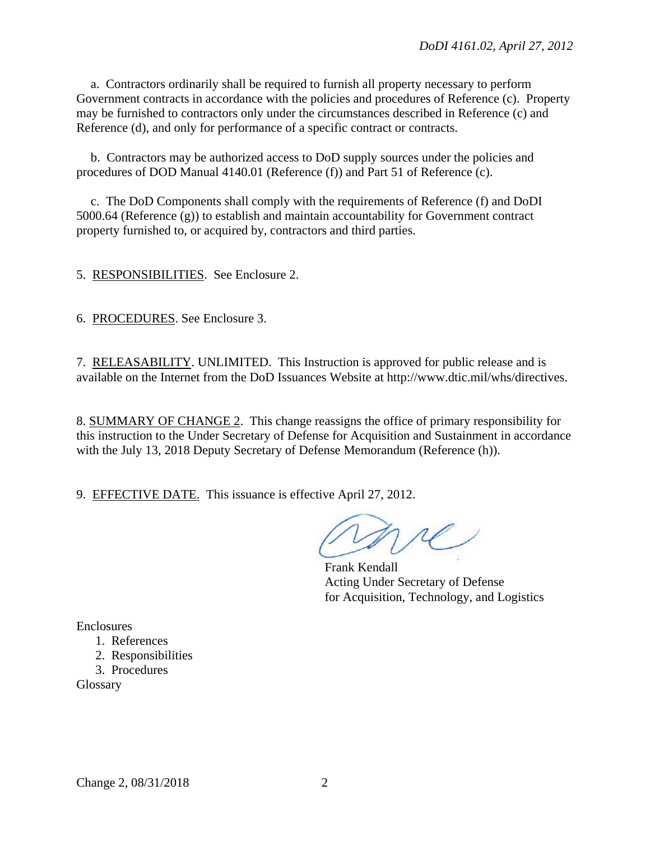a. Contractors ordinarily shall be required to furnish all property necessary to perform Government contracts in accordance with the policies and procedures of Reference (c). Property may be furnished to contractors only under the circumstances described in Reference (c) and Reference (d), and only for performance of a specific contract or contracts.

b. Contractors may be authorized access to DoD supply sources under the policies and procedures of DOD Manual 4140.01 (Reference (f)) and Part 51 of Reference (c).

c. The DoD Components shall comply with the requirements of Reference (f) and DoDI 5000.64 (Reference (g)) to establish and maintain accountability for Government contract property furnished to, or acquired by, contractors and third parties.

5. RESPONSIBILITIES. See Enclosure 2.

6. PROCEDURES. See Enclosure 3.

7. RELEASABILITY. UNLIMITED. This Instruction is approved for public release and is available on the Internet from the DoD Issuances Website at http://www.dtic.mil/whs/directives.

8. SUMMARY OF CHANGE 2. This change reassigns the office of primary responsibility for this instruction to the Under Secretary of Defense for Acquisition and Sustainment in accordance with the July 13, 2018 Deputy Secretary of Defense Memorandum (Reference (h)).

9. EFFECTIVE DATE. This issuance is effective April 27, 2012.

Frank Kendall Acting Under Secretary of Defense for Acquisition, Technology, and Logistics

Enclosures

- 1. References
- 2. Responsibilities
- 3. Procedures

Glossary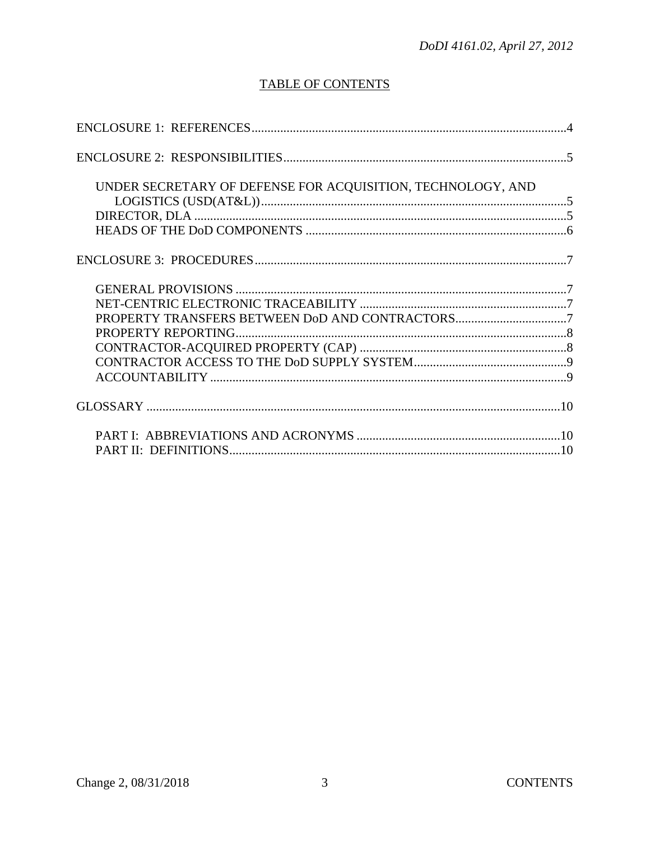# **TABLE OF CONTENTS**

| UNDER SECRETARY OF DEFENSE FOR ACQUISITION, TECHNOLOGY, AND |  |
|-------------------------------------------------------------|--|
|                                                             |  |
|                                                             |  |
|                                                             |  |
|                                                             |  |
|                                                             |  |
| PROPERTY TRANSFERS BETWEEN DoD AND CONTRACTORS7             |  |
|                                                             |  |
|                                                             |  |
|                                                             |  |
|                                                             |  |
|                                                             |  |
|                                                             |  |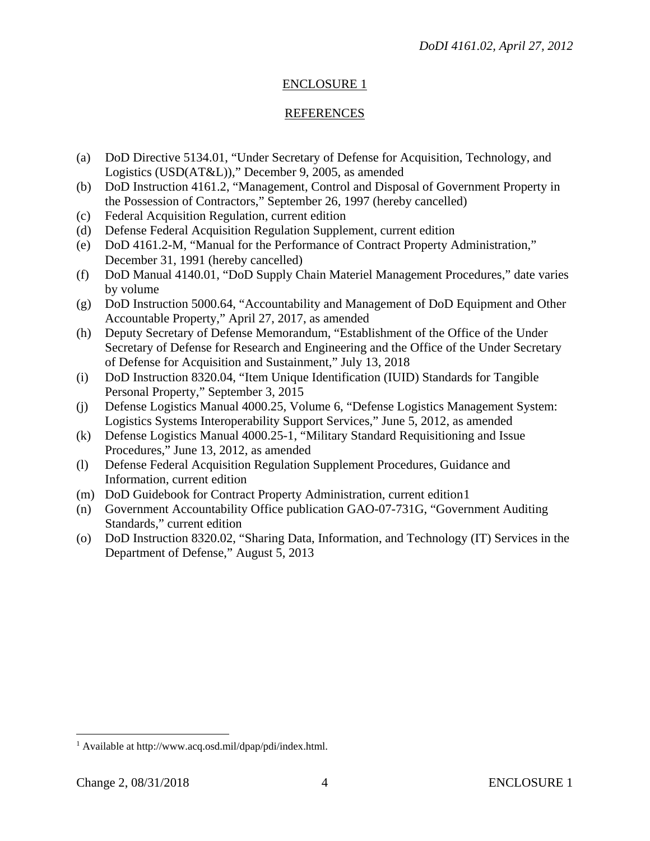# ENCLOSURE 1

# REFERENCES

- (a) DoD Directive 5134.01, "Under Secretary of Defense for Acquisition, Technology, and Logistics (USD(AT&L))," December 9, 2005, as amended
- (b) DoD Instruction 4161.2, "Management, Control and Disposal of Government Property in the Possession of Contractors," September 26, 1997 (hereby cancelled)
- (c) Federal Acquisition Regulation, current edition
- (d) Defense Federal Acquisition Regulation Supplement, current edition
- (e) DoD 4161.2-M, "Manual for the Performance of Contract Property Administration," December 31, 1991 (hereby cancelled)
- (f) DoD Manual 4140.01, "DoD Supply Chain Materiel Management Procedures," date varies by volume
- (g) DoD Instruction 5000.64, "Accountability and Management of DoD Equipment and Other Accountable Property," April 27, 2017, as amended
- (h) Deputy Secretary of Defense Memorandum, "Establishment of the Office of the Under Secretary of Defense for Research and Engineering and the Office of the Under Secretary of Defense for Acquisition and Sustainment," July 13, 2018
- (i) DoD Instruction 8320.04, "Item Unique Identification (IUID) Standards for Tangible Personal Property," September 3, 2015
- (j) Defense Logistics Manual 4000.25, Volume 6, "Defense Logistics Management System: Logistics Systems Interoperability Support Services," June 5, 2012, as amended
- (k) Defense Logistics Manual 4000.25-1, "Military Standard Requisitioning and Issue Procedures," June 13, 2012, as amended
- (l) Defense Federal Acquisition Regulation Supplement Procedures, Guidance and Information, current edition
- (m) DoD Guidebook for Contract Property Administration, current edition1
- (n) Government Accountability Office publication GAO-07-731G, "Government Auditing Standards," current edition
- (o) DoD Instruction 8320.02, "Sharing Data, Information, and Technology (IT) Services in the Department of Defense," August 5, 2013

 $\overline{a}$ 

<span id="page-3-0"></span><sup>&</sup>lt;sup>1</sup> Available at http://www.acq.osd.mil/dpap/pdi/index.html.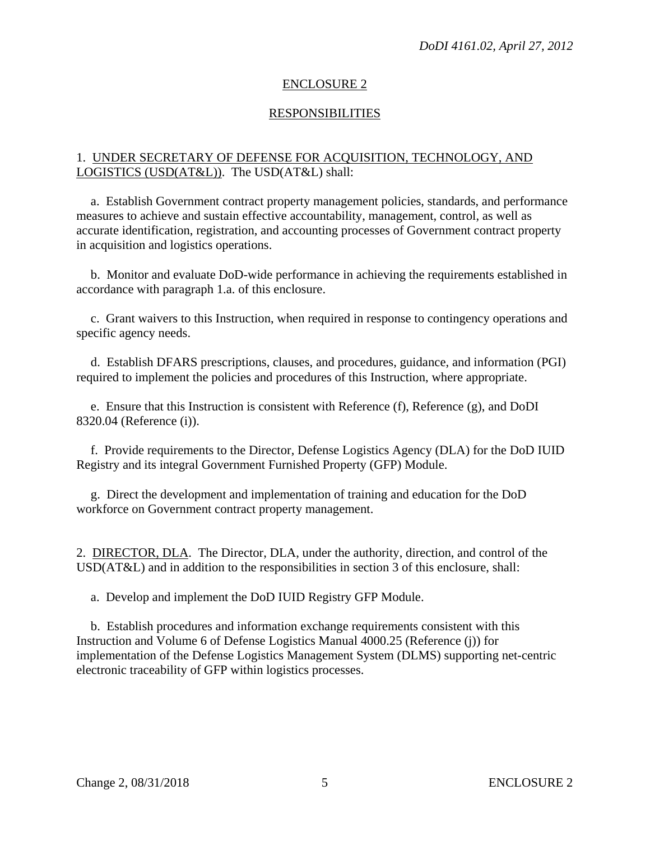# ENCLOSURE 2

# RESPONSIBILITIES

# 1. UNDER SECRETARY OF DEFENSE FOR ACQUISITION, TECHNOLOGY, AND LOGISTICS (USD(AT&L)). The USD(AT&L) shall:

 a. Establish Government contract property management policies, standards, and performance measures to achieve and sustain effective accountability, management, control, as well as accurate identification, registration, and accounting processes of Government contract property in acquisition and logistics operations.

 b. Monitor and evaluate DoD-wide performance in achieving the requirements established in accordance with paragraph 1.a. of this enclosure.

 c. Grant waivers to this Instruction, when required in response to contingency operations and specific agency needs.

 d. Establish DFARS prescriptions, clauses, and procedures, guidance, and information (PGI) required to implement the policies and procedures of this Instruction, where appropriate.

 e. Ensure that this Instruction is consistent with Reference (f), Reference (g), and DoDI 8320.04 (Reference (i)).

 f. Provide requirements to the Director, Defense Logistics Agency (DLA) for the DoD IUID Registry and its integral Government Furnished Property (GFP) Module.

 g. Direct the development and implementation of training and education for the DoD workforce on Government contract property management.

2. DIRECTOR, DLA. The Director, DLA, under the authority, direction, and control of the USD(AT&L) and in addition to the responsibilities in section 3 of this enclosure, shall:

a. Develop and implement the DoD IUID Registry GFP Module.

 b. Establish procedures and information exchange requirements consistent with this Instruction and Volume 6 of Defense Logistics Manual 4000.25 (Reference (j)) for implementation of the Defense Logistics Management System (DLMS) supporting net-centric electronic traceability of GFP within logistics processes.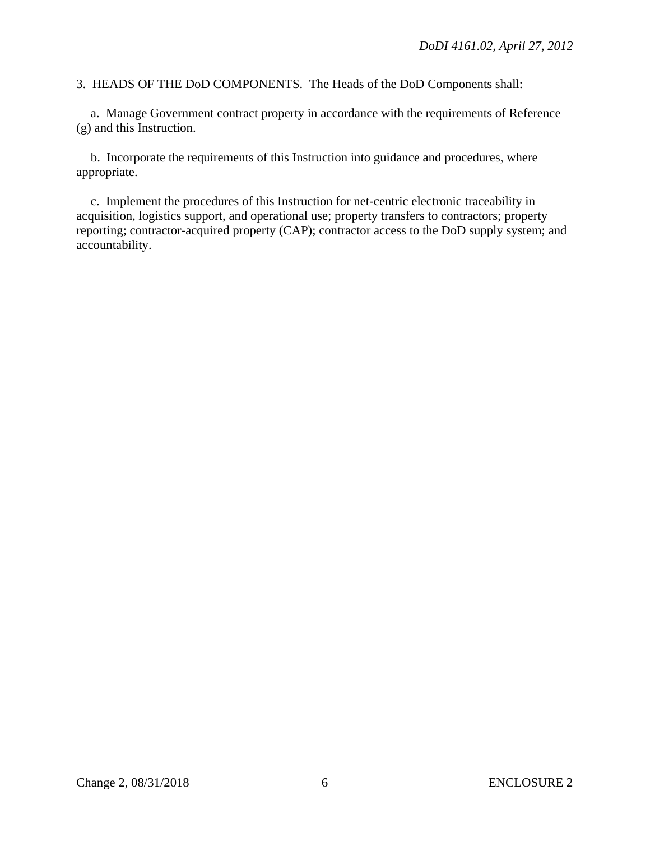3. HEADS OF THE DoD COMPONENTS. The Heads of the DoD Components shall:

 a. Manage Government contract property in accordance with the requirements of Reference (g) and this Instruction.

 b. Incorporate the requirements of this Instruction into guidance and procedures, where appropriate.

 c. Implement the procedures of this Instruction for net-centric electronic traceability in acquisition, logistics support, and operational use; property transfers to contractors; property reporting; contractor-acquired property (CAP); contractor access to the DoD supply system; and accountability.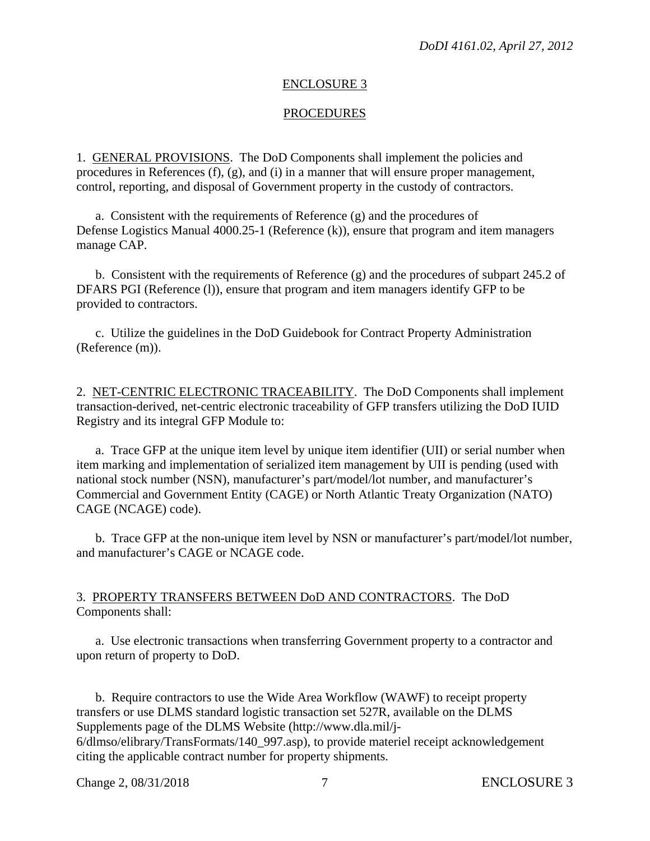#### ENCLOSURE 3

#### **PROCEDURES**

1. GENERAL PROVISIONS. The DoD Components shall implement the policies and procedures in References (f), (g), and (i) in a manner that will ensure proper management, control, reporting, and disposal of Government property in the custody of contractors.

 a. Consistent with the requirements of Reference (g) and the procedures of Defense Logistics Manual 4000.25-1 (Reference (k)), ensure that program and item managers manage CAP.

 b. Consistent with the requirements of Reference (g) and the procedures of subpart 245.2 of DFARS PGI (Reference (l)), ensure that program and item managers identify GFP to be provided to contractors.

 c. Utilize the guidelines in the DoD Guidebook for Contract Property Administration (Reference (m)).

2. NET-CENTRIC ELECTRONIC TRACEABILITY. The DoD Components shall implement transaction-derived, net-centric electronic traceability of GFP transfers utilizing the DoD IUID Registry and its integral GFP Module to:

a. Trace GFP at the unique item level by unique item identifier (UII) or serial number when item marking and implementation of serialized item management by UII is pending (used with national stock number (NSN), manufacturer's part/model/lot number, and manufacturer's Commercial and Government Entity (CAGE) or North Atlantic Treaty Organization (NATO) CAGE (NCAGE) code).

b. Trace GFP at the non-unique item level by NSN or manufacturer's part/model/lot number, and manufacturer's CAGE or NCAGE code.

3. PROPERTY TRANSFERS BETWEEN DoD AND CONTRACTORS. The DoD Components shall:

 a. Use electronic transactions when transferring Government property to a contractor and upon return of property to DoD.

 b. Require contractors to use the Wide Area Workflow (WAWF) to receipt property transfers or use DLMS standard logistic transaction set 527R, available on the DLMS Supplements page of the DLMS Website (http://www.dla.mil/j-6/dlmso/elibrary/TransFormats/140\_997.asp), to provide materiel receipt acknowledgement citing the applicable contract number for property shipments.

Change 2, 08/31/2018 7 ENCLOSURE 3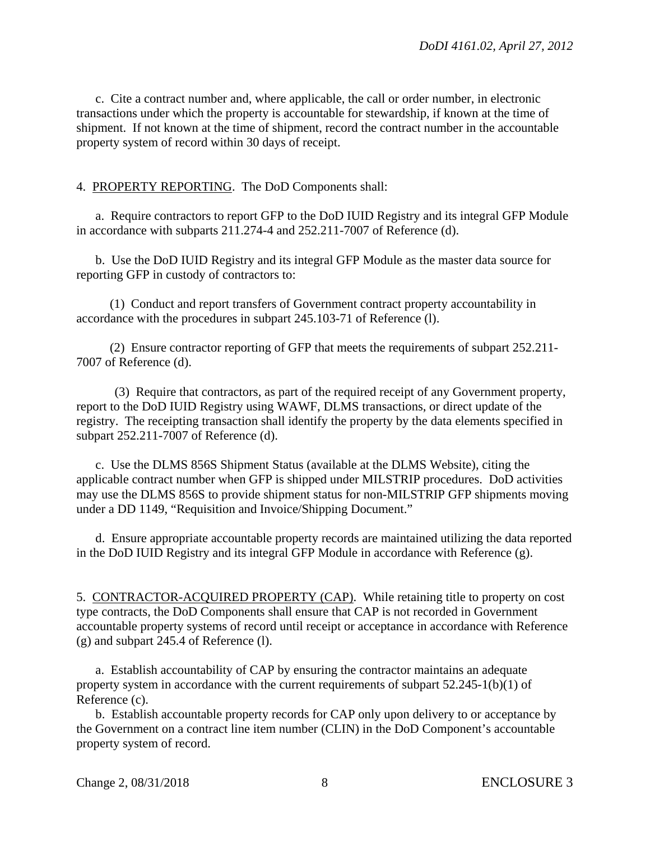c. Cite a contract number and, where applicable, the call or order number, in electronic transactions under which the property is accountable for stewardship, if known at the time of shipment. If not known at the time of shipment, record the contract number in the accountable property system of record within 30 days of receipt.

4. PROPERTY REPORTING. The DoD Components shall:

 a. Require contractors to report GFP to the DoD IUID Registry and its integral GFP Module in accordance with subparts 211.274-4 and 252.211-7007 of Reference (d).

 b. Use the DoD IUID Registry and its integral GFP Module as the master data source for reporting GFP in custody of contractors to:

 (1) Conduct and report transfers of Government contract property accountability in accordance with the procedures in subpart 245.103-71 of Reference (l).

(2) Ensure contractor reporting of GFP that meets the requirements of subpart 252.211- 7007 of Reference (d).

(3) Require that contractors, as part of the required receipt of any Government property, report to the DoD IUID Registry using WAWF, DLMS transactions, or direct update of the registry. The receipting transaction shall identify the property by the data elements specified in subpart 252.211-7007 of Reference (d).

 c. Use the DLMS 856S Shipment Status (available at the DLMS Website), citing the applicable contract number when GFP is shipped under MILSTRIP procedures. DoD activities may use the DLMS 856S to provide shipment status for non-MILSTRIP GFP shipments moving under a DD 1149, "Requisition and Invoice/Shipping Document."

 d. Ensure appropriate accountable property records are maintained utilizing the data reported in the DoD IUID Registry and its integral GFP Module in accordance with Reference (g).

5. CONTRACTOR-ACQUIRED PROPERTY (CAP). While retaining title to property on cost type contracts, the DoD Components shall ensure that CAP is not recorded in Government accountable property systems of record until receipt or acceptance in accordance with Reference (g) and subpart 245.4 of Reference (l).

 a. Establish accountability of CAP by ensuring the contractor maintains an adequate property system in accordance with the current requirements of subpart 52.245-1(b)(1) of Reference (c).

 b. Establish accountable property records for CAP only upon delivery to or acceptance by the Government on a contract line item number (CLIN) in the DoD Component's accountable property system of record.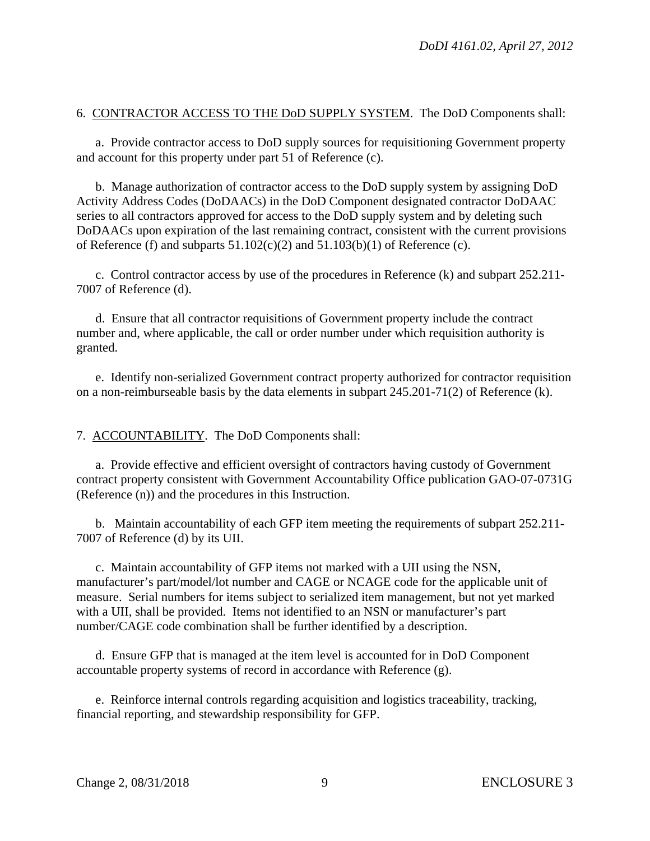# 6. CONTRACTOR ACCESS TO THE DoD SUPPLY SYSTEM. The DoD Components shall:

a. Provide contractor access to DoD supply sources for requisitioning Government property and account for this property under part 51 of Reference (c).

b. Manage authorization of contractor access to the DoD supply system by assigning DoD Activity Address Codes (DoDAACs) in the DoD Component designated contractor DoDAAC series to all contractors approved for access to the DoD supply system and by deleting such DoDAACs upon expiration of the last remaining contract, consistent with the current provisions of Reference (f) and subparts  $51.102(c)(2)$  and  $51.103(b)(1)$  of Reference (c).

c. Control contractor access by use of the procedures in Reference (k) and subpart 252.211- 7007 of Reference (d).

d. Ensure that all contractor requisitions of Government property include the contract number and, where applicable, the call or order number under which requisition authority is granted.

e. Identify non-serialized Government contract property authorized for contractor requisition on a non-reimburseable basis by the data elements in subpart 245.201-71(2) of Reference (k).

7. ACCOUNTABILITY. The DoD Components shall:

a. Provide effective and efficient oversight of contractors having custody of Government contract property consistent with Government Accountability Office publication GAO-07-0731G (Reference (n)) and the procedures in this Instruction.

 b. Maintain accountability of each GFP item meeting the requirements of subpart 252.211- 7007 of Reference (d) by its UII.

 c. Maintain accountability of GFP items not marked with a UII using the NSN, manufacturer's part/model/lot number and CAGE or NCAGE code for the applicable unit of measure. Serial numbers for items subject to serialized item management, but not yet marked with a UII, shall be provided. Items not identified to an NSN or manufacturer's part number/CAGE code combination shall be further identified by a description.

d. Ensure GFP that is managed at the item level is accounted for in DoD Component accountable property systems of record in accordance with Reference (g).

e. Reinforce internal controls regarding acquisition and logistics traceability, tracking, financial reporting, and stewardship responsibility for GFP.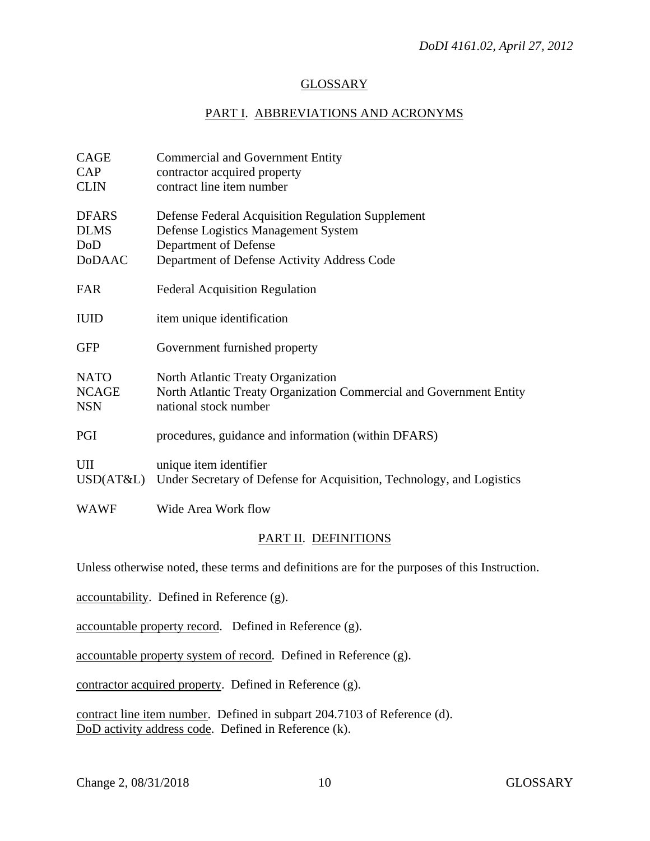## **GLOSSARY**

### PART I. ABBREVIATIONS AND ACRONYMS

| CAGE<br><b>CAP</b><br><b>CLIN</b>                    | <b>Commercial and Government Entity</b><br>contractor acquired property<br>contract line item number                                                             |
|------------------------------------------------------|------------------------------------------------------------------------------------------------------------------------------------------------------------------|
| <b>DFARS</b><br><b>DLMS</b><br>DoD<br><b>D</b> oDAAC | Defense Federal Acquisition Regulation Supplement<br>Defense Logistics Management System<br>Department of Defense<br>Department of Defense Activity Address Code |
| FAR                                                  | <b>Federal Acquisition Regulation</b>                                                                                                                            |
| <b>IUID</b>                                          | item unique identification                                                                                                                                       |
| <b>GFP</b>                                           | Government furnished property                                                                                                                                    |
| <b>NATO</b><br><b>NCAGE</b><br><b>NSN</b>            | North Atlantic Treaty Organization<br>North Atlantic Treaty Organization Commercial and Government Entity<br>national stock number                               |
| PGI                                                  | procedures, guidance and information (within DFARS)                                                                                                              |
| UII<br>USD(AT&L)                                     | unique item identifier<br>Under Secretary of Defense for Acquisition, Technology, and Logistics                                                                  |
| <b>WAWF</b>                                          | Wide Area Work flow                                                                                                                                              |

# PART II. DEFINITIONS

Unless otherwise noted, these terms and definitions are for the purposes of this Instruction.

accountability. Defined in Reference (g).

accountable property record. Defined in Reference (g).

accountable property system of record. Defined in Reference (g).

contractor acquired property. Defined in Reference (g).

contract line item number. Defined in subpart 204.7103 of Reference (d). DoD activity address code. Defined in Reference (k).